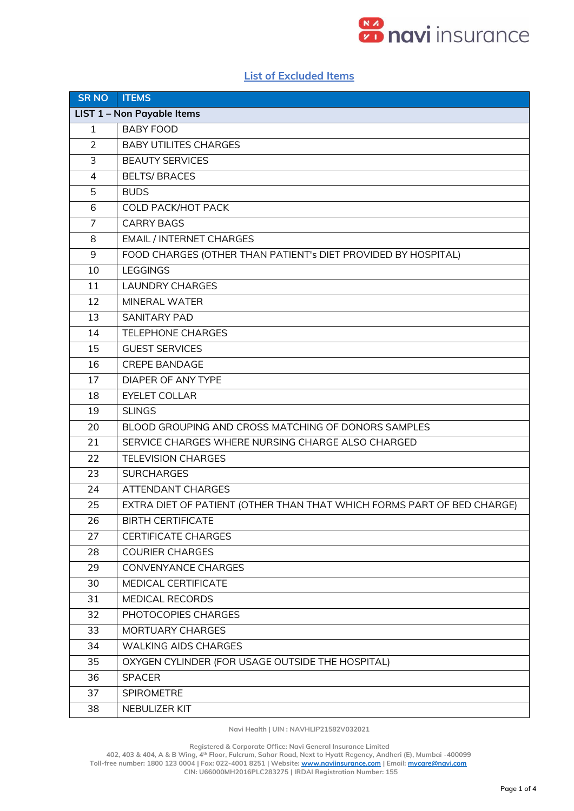

## **List of Excluded Items**

| <b>SR NO</b>               | <b>ITEMS</b>                                                           |  |  |
|----------------------------|------------------------------------------------------------------------|--|--|
| LIST 1 - Non Payable Items |                                                                        |  |  |
| $\mathbf{1}$               | <b>BABY FOOD</b>                                                       |  |  |
| 2                          | <b>BABY UTILITES CHARGES</b>                                           |  |  |
| 3                          | <b>BEAUTY SERVICES</b>                                                 |  |  |
| $\overline{4}$             | <b>BELTS/ BRACES</b>                                                   |  |  |
| 5                          | <b>BUDS</b>                                                            |  |  |
| 6                          | <b>COLD PACK/HOT PACK</b>                                              |  |  |
| $\overline{7}$             | <b>CARRY BAGS</b>                                                      |  |  |
| 8                          | <b>EMAIL / INTERNET CHARGES</b>                                        |  |  |
| 9                          | FOOD CHARGES (OTHER THAN PATIENT's DIET PROVIDED BY HOSPITAL)          |  |  |
| 10                         | <b>LEGGINGS</b>                                                        |  |  |
| 11                         | <b>LAUNDRY CHARGES</b>                                                 |  |  |
| 12                         | <b>MINERAL WATER</b>                                                   |  |  |
| 13                         | <b>SANITARY PAD</b>                                                    |  |  |
| 14                         | <b>TELEPHONE CHARGES</b>                                               |  |  |
| 15                         | <b>GUEST SERVICES</b>                                                  |  |  |
| 16                         | <b>CREPE BANDAGE</b>                                                   |  |  |
| 17                         | <b>DIAPER OF ANY TYPE</b>                                              |  |  |
| 18                         | <b>EYELET COLLAR</b>                                                   |  |  |
| 19                         | <b>SLINGS</b>                                                          |  |  |
| 20                         | BLOOD GROUPING AND CROSS MATCHING OF DONORS SAMPLES                    |  |  |
| 21                         | SERVICE CHARGES WHERE NURSING CHARGE ALSO CHARGED                      |  |  |
| 22                         | <b>TELEVISION CHARGES</b>                                              |  |  |
| 23                         | <b>SURCHARGES</b>                                                      |  |  |
| 24                         | ATTENDANT CHARGES                                                      |  |  |
| 25                         | EXTRA DIET OF PATIENT (OTHER THAN THAT WHICH FORMS PART OF BED CHARGE) |  |  |
| 26                         | <b>BIRTH CERTIFICATE</b>                                               |  |  |
| 27                         | <b>CERTIFICATE CHARGES</b>                                             |  |  |
| 28                         | <b>COURIER CHARGES</b>                                                 |  |  |
| 29                         | CONVENYANCE CHARGES                                                    |  |  |
| 30                         | MEDICAL CERTIFICATE                                                    |  |  |
| 31                         | <b>MEDICAL RECORDS</b>                                                 |  |  |
| 32                         | PHOTOCOPIES CHARGES                                                    |  |  |
| 33                         | MORTUARY CHARGES                                                       |  |  |
| 34                         | <b>WALKING AIDS CHARGES</b>                                            |  |  |
| 35                         | OXYGEN CYLINDER (FOR USAGE OUTSIDE THE HOSPITAL)                       |  |  |
| 36                         | <b>SPACER</b>                                                          |  |  |
| 37                         | <b>SPIROMETRE</b>                                                      |  |  |
| 38                         | NEBULIZER KIT                                                          |  |  |

**Navi Health | UIN : NAVHLIP21582V032021**

 **Registered & Corporate Office: Navi General Insurance Limited**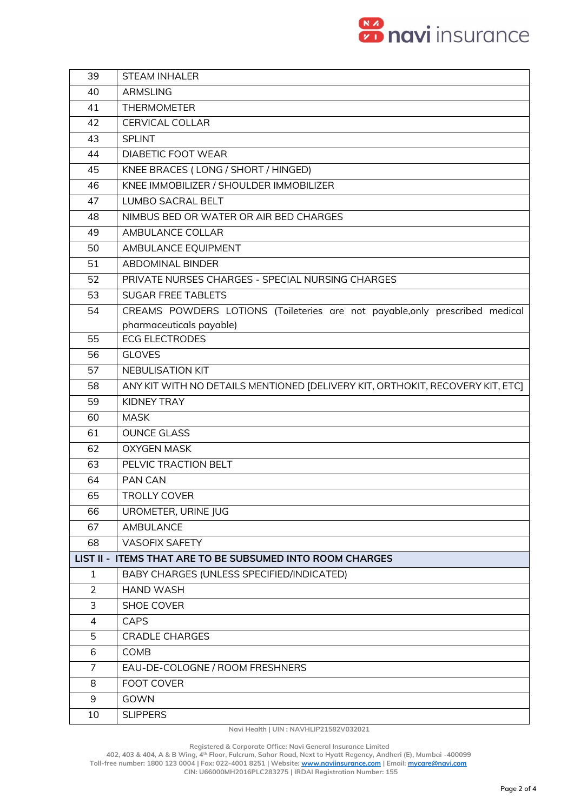

| 39             | <b>STEAM INHALER</b>                                                          |
|----------------|-------------------------------------------------------------------------------|
| 40             | <b>ARMSLING</b>                                                               |
| 41             | <b>THERMOMETER</b>                                                            |
| 42             | <b>CERVICAL COLLAR</b>                                                        |
| 43             | <b>SPLINT</b>                                                                 |
| 44             | <b>DIABETIC FOOT WEAR</b>                                                     |
| 45             | KNEE BRACES (LONG / SHORT / HINGED)                                           |
| 46             | KNEE IMMOBILIZER / SHOULDER IMMOBILIZER                                       |
| 47             | <b>LUMBO SACRAL BELT</b>                                                      |
| 48             | NIMBUS BED OR WATER OR AIR BED CHARGES                                        |
| 49             | AMBULANCE COLLAR                                                              |
| 50             | AMBULANCE EQUIPMENT                                                           |
| 51             | <b>ABDOMINAL BINDER</b>                                                       |
| 52             | PRIVATE NURSES CHARGES - SPECIAL NURSING CHARGES                              |
| 53             | <b>SUGAR FREE TABLETS</b>                                                     |
| 54             | CREAMS POWDERS LOTIONS (Toileteries are not payable, only prescribed medical  |
|                | pharmaceuticals payable)                                                      |
| 55             | <b>ECG ELECTRODES</b>                                                         |
| 56             | <b>GLOVES</b>                                                                 |
| 57             | <b>NEBULISATION KIT</b>                                                       |
| 58             | ANY KIT WITH NO DETAILS MENTIONED [DELIVERY KIT, ORTHOKIT, RECOVERY KIT, ETC] |
| 59             | KIDNEY TRAY                                                                   |
| 60             | <b>MASK</b>                                                                   |
| 61             | <b>OUNCE GLASS</b>                                                            |
| 62             | <b>OXYGEN MASK</b>                                                            |
| 63             | PELVIC TRACTION BELT                                                          |
| 64             | PAN CAN                                                                       |
| 65             | <b>TROLLY COVER</b>                                                           |
| 66             | UROMETER, URINE JUG                                                           |
| 67             | AMBULANCE                                                                     |
| 68             | <b>VASOFIX SAFETY</b>                                                         |
|                | LIST II - ITEMS THAT ARE TO BE SUBSUMED INTO ROOM CHARGES                     |
| $\mathbf{1}$   | BABY CHARGES (UNLESS SPECIFIED/INDICATED)                                     |
| 2              | <b>HAND WASH</b>                                                              |
| 3              | <b>SHOE COVER</b>                                                             |
| 4              | <b>CAPS</b>                                                                   |
| 5              | <b>CRADLE CHARGES</b>                                                         |
| 6              | COMB                                                                          |
| $\overline{7}$ | EAU-DE-COLOGNE / ROOM FRESHNERS                                               |
| 8              | <b>FOOT COVER</b>                                                             |
| 9              | GOWN                                                                          |
| 10             | <b>SLIPPERS</b>                                                               |

**Navi Health | UIN : NAVHLIP21582V032021**

 **Registered & Corporate Office: Navi General Insurance Limited**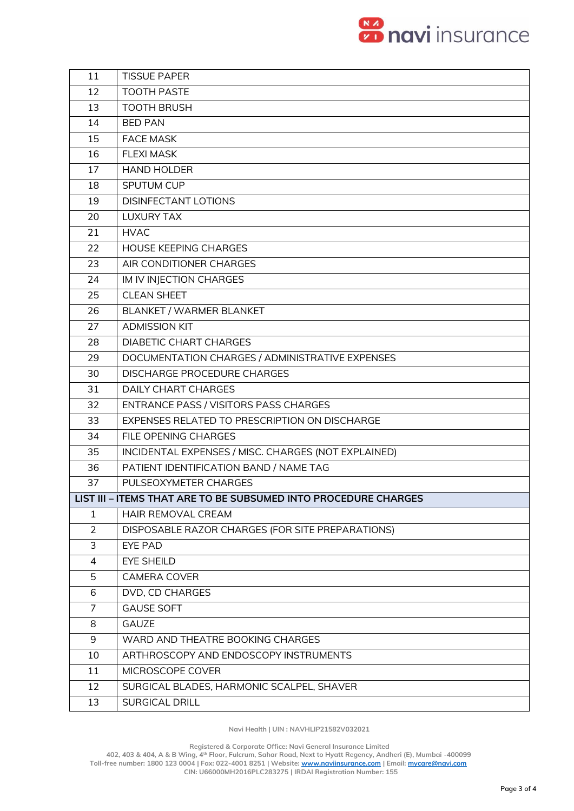

| 11             | <b>TISSUE PAPER</b>                                             |
|----------------|-----------------------------------------------------------------|
| 12             | <b>TOOTH PASTE</b>                                              |
| 13             | <b>TOOTH BRUSH</b>                                              |
| 14             | <b>BED PAN</b>                                                  |
| 15             | <b>FACE MASK</b>                                                |
| 16             | <b>FLEXI MASK</b>                                               |
| 17             | <b>HAND HOLDER</b>                                              |
| 18             | SPUTUM CUP                                                      |
| 19             | <b>DISINFECTANT LOTIONS</b>                                     |
| 20             | <b>LUXURY TAX</b>                                               |
| 21             | <b>HVAC</b>                                                     |
| 22             | <b>HOUSE KEEPING CHARGES</b>                                    |
| 23             | AIR CONDITIONER CHARGES                                         |
| 24             | IM IV INJECTION CHARGES                                         |
| 25             | <b>CLEAN SHEET</b>                                              |
| 26             | BLANKET / WARMER BLANKET                                        |
| 27             | <b>ADMISSION KIT</b>                                            |
| 28             | <b>DIABETIC CHART CHARGES</b>                                   |
| 29             | DOCUMENTATION CHARGES / ADMINISTRATIVE EXPENSES                 |
| 30             | <b>DISCHARGE PROCEDURE CHARGES</b>                              |
| 31             | <b>DAILY CHART CHARGES</b>                                      |
| 32             | ENTRANCE PASS / VISITORS PASS CHARGES                           |
| 33             | EXPENSES RELATED TO PRESCRIPTION ON DISCHARGE                   |
| 34             | FILE OPENING CHARGES                                            |
| 35             | INCIDENTAL EXPENSES / MISC. CHARGES (NOT EXPLAINED)             |
| 36             | PATIENT IDENTIFICATION BAND / NAME TAG                          |
| 37             | PULSEOXYMETER CHARGES                                           |
|                | LIST III – ITEMS THAT ARE TO BE SUBSUMED INTO PROCEDURE CHARGES |
| 1              | <b>HAIR REMOVAL CREAM</b>                                       |
| $\overline{2}$ | DISPOSABLE RAZOR CHARGES (FOR SITE PREPARATIONS)                |
| 3              | <b>EYE PAD</b>                                                  |
| 4              | <b>EYE SHEILD</b>                                               |
| 5              | <b>CAMERA COVER</b>                                             |
| 6              | DVD, CD CHARGES                                                 |
| $\overline{7}$ | <b>GAUSE SOFT</b>                                               |
| 8              | <b>GAUZE</b>                                                    |
| 9              | WARD AND THEATRE BOOKING CHARGES                                |
| 10             | ARTHROSCOPY AND ENDOSCOPY INSTRUMENTS                           |
| 11             | MICROSCOPE COVER                                                |
| 12             | SURGICAL BLADES, HARMONIC SCALPEL, SHAVER                       |
| 13             | SURGICAL DRILL                                                  |

**Navi Health | UIN : NAVHLIP21582V032021**

 **Registered & Corporate Office: Navi General Insurance Limited**